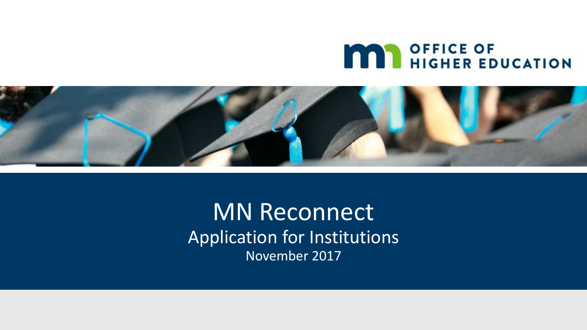



MN Reconnect Application for Institutions November 2017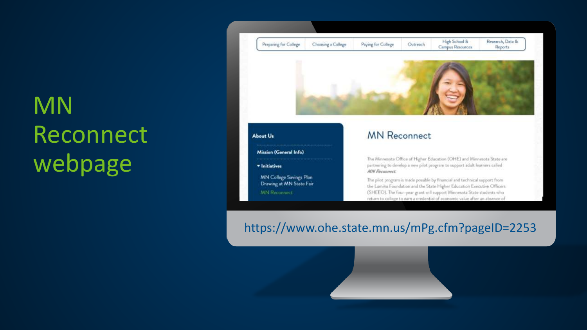## MN Reconnect webpage



#### **MN** Reconnect **About Us** Mission (General Info) The Minnesota Office of Higher Education (OHE) and Minnesota State are partnering to develop a new pilot program to support adult learners called \* Initiatives **MN** Reconnect. **MN College Savings Plan** The pilot program is made possible by financial and technical support from Drawing at MN State Fair the Lumina Foundation and the State Higher Education Executive Officers MN Reconnect (SHEEO). The four-year grant will support Minnesota State students who return to college to earn a credential of economic value after an absence of

#### https://www.ohe.state.mn.us/mPg.cfm?pageID=2253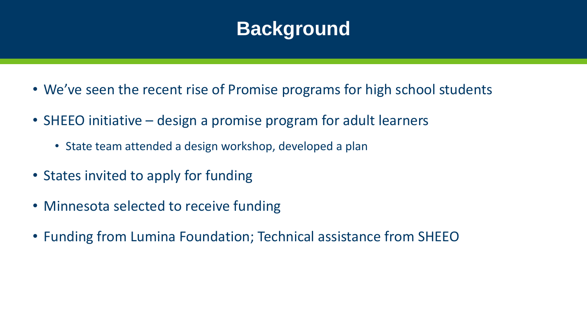### **Background**

- We've seen the recent rise of Promise programs for high school students
- SHEEO initiative design a promise program for adult learners
	- State team attended a design workshop, developed a plan
- States invited to apply for funding
- Minnesota selected to receive funding
- Funding from Lumina Foundation; Technical assistance from SHEEO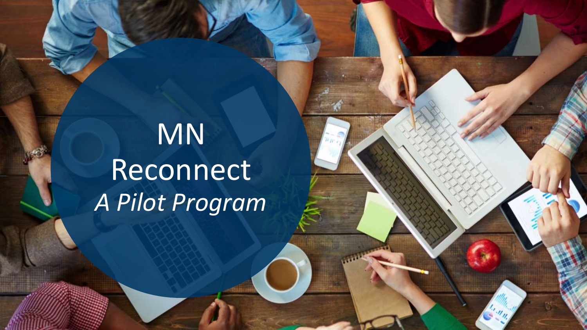# MN Reconnect *A Pilot Program*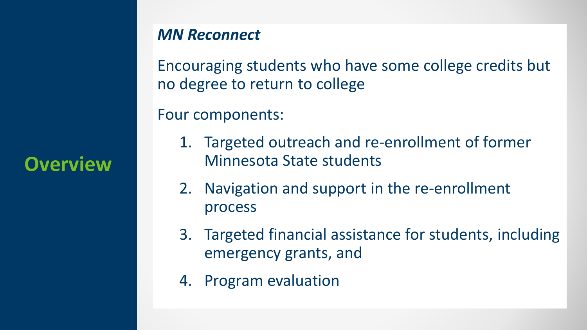### **Overview**

#### *MN Reconnect*

Encouraging students who have some college credits but no degree to return to college

Four components:

- 1. Targeted outreach and re-enrollment of former Minnesota State students
- 2. Navigation and support in the re-enrollment process
- 3. Targeted financial assistance for students, including emergency grants, and
- 4. Program evaluation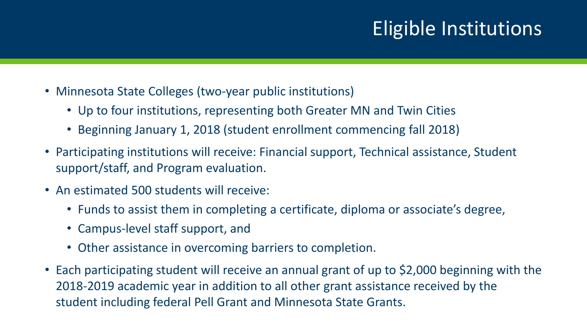## Eligible Institutions

- Minnesota State Colleges (two-year public institutions)
	- Up to four institutions, representing both Greater MN and Twin Cities
	- Beginning January 1, 2018 (student enrollment commencing fall 2018)
- Participating institutions will receive: Financial support, Technical assistance, Student support/staff, and Program evaluation.
- An estimated 500 students will receive:
	- Funds to assist them in completing a certificate, diploma or associate's degree,
	- Campus-level staff support, and
	- Other assistance in overcoming barriers to completion.
- Each participating student will receive an annual grant of up to \$2,000 beginning with the 2018-2019 academic year in addition to all other grant assistance received by the student including federal Pell Grant and Minnesota State Grants.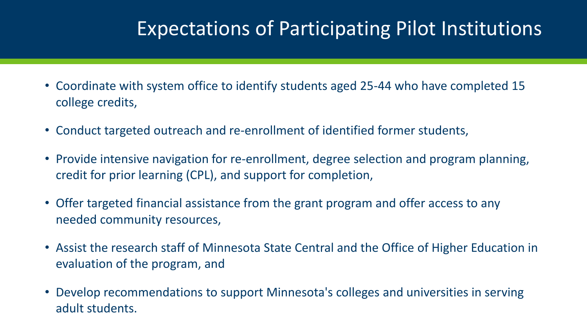## Expectations of Participating Pilot Institutions

- Coordinate with system office to identify students aged 25-44 who have completed 15 college credits,
- Conduct targeted outreach and re-enrollment of identified former students,
- Provide intensive navigation for re-enrollment, degree selection and program planning, credit for prior learning (CPL), and support for completion,
- Offer targeted financial assistance from the grant program and offer access to any needed community resources,
- Assist the research staff of Minnesota State Central and the Office of Higher Education in evaluation of the program, and
- Develop recommendations to support Minnesota's colleges and universities in serving adult students.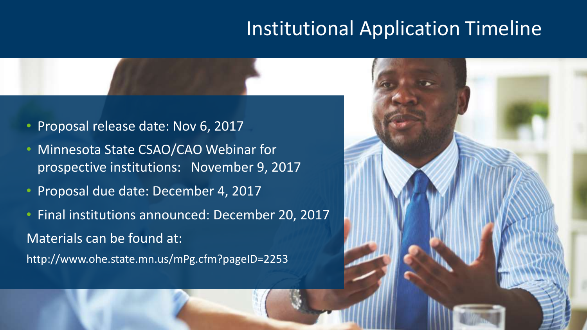### Institutional Application Timeline

- Proposal release date: Nov 6, 2017
- Minnesota State CSAO/CAO Webinar for prospective institutions: November 9, 2017
- Proposal due date: December 4, 2017
- Final institutions announced: December 20, 2017 Materials can be found at: http://www.ohe.state.mn.us/mPg.cfm?pageID=2253

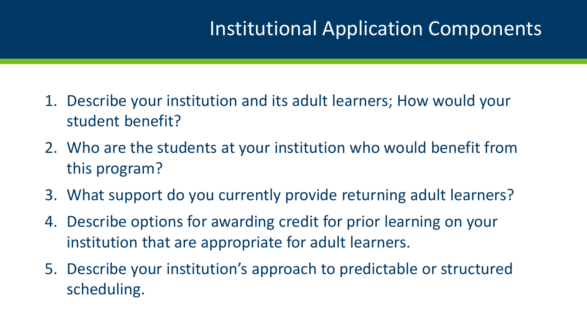#### Institutional Application Components

- 1. Describe your institution and its adult learners; How would your student benefit?
- 2. Who are the students at your institution who would benefit from this program?
- 3. What support do you currently provide returning adult learners?
- 4. Describe options for awarding credit for prior learning on your institution that are appropriate for adult learners.
- 5. Describe your institution's approach to predictable or structured scheduling.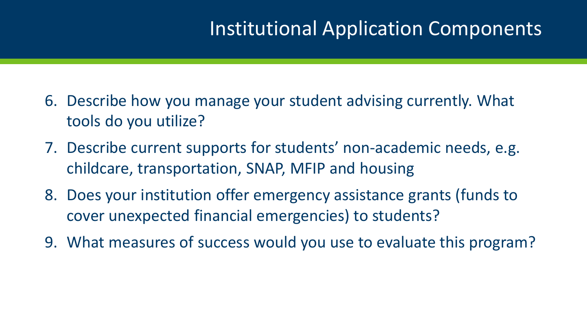#### Institutional Application Components

- 6. Describe how you manage your student advising currently. What tools do you utilize?
- 7. Describe current supports for students' non-academic needs, e.g. childcare, transportation, SNAP, MFIP and housing
- 8. Does your institution offer emergency assistance grants (funds to cover unexpected financial emergencies) to students?
- 9. What measures of success would you use to evaluate this program?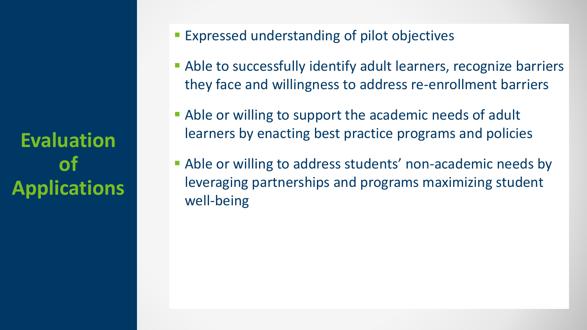**Evaluation of Applications**

- **Expressed understanding of pilot objectives**
- Able to successfully identify adult learners, recognize barriers they face and willingness to address re-enrollment barriers
- Able or willing to support the academic needs of adult learners by enacting best practice programs and policies
- Able or willing to address students' non-academic needs by leveraging partnerships and programs maximizing student well-being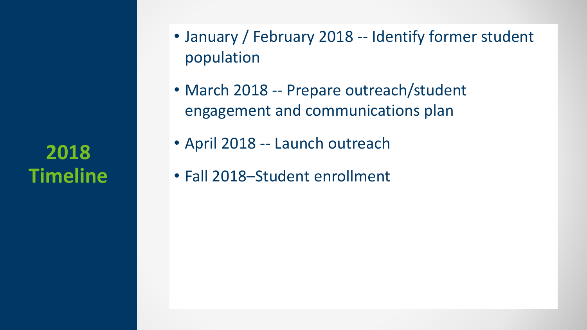**2018 Timeline**

- January / February 2018 -- Identify former student population
- March 2018 -- Prepare outreach/student engagement and communications plan
- April 2018 -- Launch outreach
- Fall 2018–Student enrollment